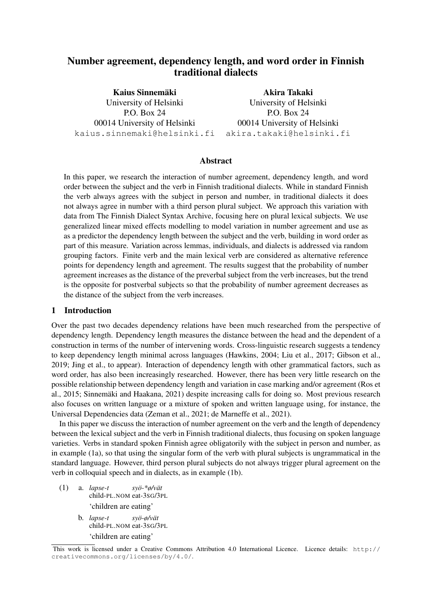# Number agreement, dependency length, and word order in Finnish traditional dialects

Kaius Sinnemäki University of Helsinki P.O. Box 24 00014 University of Helsinki kaius.sinnemaki@helsinki.fi

Akira Takaki University of Helsinki P.O. Box 24 00014 University of Helsinki akira.takaki@helsinki.fi

## Abstract

In this paper, we research the interaction of number agreement, dependency length, and word order between the subject and the verb in Finnish traditional dialects. While in standard Finnish the verb always agrees with the subject in person and number, in traditional dialects it does not always agree in number with a third person plural subject. We approach this variation with data from The Finnish Dialect Syntax Archive, focusing here on plural lexical subjects. We use generalized linear mixed effects modelling to model variation in number agreement and use as as a predictor the dependency length between the subject and the verb, building in word order as part of this measure. Variation across lemmas, individuals, and dialects is addressed via random grouping factors. Finite verb and the main lexical verb are considered as alternative reference points for dependency length and agreement. The results suggest that the probability of number agreement increases as the distance of the preverbal subject from the verb increases, but the trend is the opposite for postverbal subjects so that the probability of number agreement decreases as the distance of the subject from the verb increases.

## 1 Introduction

Over the past two decades dependency relations have been much researched from the perspective of dependency length. Dependency length measures the distance between the head and the dependent of a construction in terms of the number of intervening words. Cross-linguistic research suggests a tendency to keep dependency length minimal across languages (Hawkins, 2004; Liu et al., 2017; Gibson et al., 2019; Jing et al., to appear). Interaction of dependency length with other grammatical factors, such as word order, has also been increasingly researched. However, there has been very little research on the possible relationship between dependency length and variation in case marking and/or agreement (Ros et al., 2015; Sinnemaki and Haakana, 2021) despite increasing calls for doing so. Most previous research ¨ also focuses on written language or a mixture of spoken and written language using, for instance, the Universal Dependencies data (Zeman et al., 2021; de Marneffe et al., 2021).

In this paper we discuss the interaction of number agreement on the verb and the length of dependency between the lexical subject and the verb in Finnish traditional dialects, thus focusing on spoken language varieties. Verbs in standard spoken Finnish agree obligatorily with the subject in person and number, as in example (1a), so that using the singular form of the verb with plural subjects is ungrammatical in the standard language. However, third person plural subjects do not always trigger plural agreement on the verb in colloquial speech and in dialects, as in example (1b).

- (1) a. *lapse-t* child-PL.NOM eat-3SG/3PL *syo-\*ø/v ¨ at¨* 'children are eating'
	- b. *lapse-t* child-PL.NOM eat-3SG/3PL *syo-ø/v ¨ at¨* 'children are eating'

This work is licensed under a Creative Commons Attribution 4.0 International Licence. Licence details: http:// creativecommons.org/licenses/by/4.0/.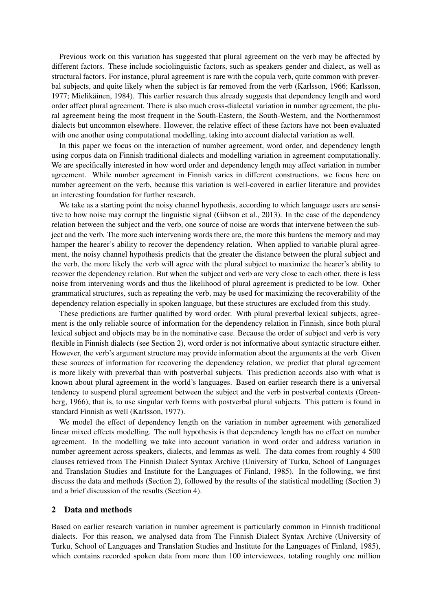Previous work on this variation has suggested that plural agreement on the verb may be affected by different factors. These include sociolinguistic factors, such as speakers gender and dialect, as well as structural factors. For instance, plural agreement is rare with the copula verb, quite common with preverbal subjects, and quite likely when the subject is far removed from the verb (Karlsson, 1966; Karlsson, 1977; Mielikäinen, 1984). This earlier research thus already suggests that dependency length and word order affect plural agreement. There is also much cross-dialectal variation in number agreement, the plural agreement being the most frequent in the South-Eastern, the South-Western, and the Northernmost dialects but uncommon elsewhere. However, the relative effect of these factors have not been evaluated with one another using computational modelling, taking into account dialectal variation as well.

In this paper we focus on the interaction of number agreement, word order, and dependency length using corpus data on Finnish traditional dialects and modelling variation in agreement computationally. We are specifically interested in how word order and dependency length may affect variation in number agreement. While number agreement in Finnish varies in different constructions, we focus here on number agreement on the verb, because this variation is well-covered in earlier literature and provides an interesting foundation for further research.

We take as a starting point the noisy channel hypothesis, according to which language users are sensitive to how noise may corrupt the linguistic signal (Gibson et al., 2013). In the case of the dependency relation between the subject and the verb, one source of noise are words that intervene between the subject and the verb. The more such intervening words there are, the more this burdens the memory and may hamper the hearer's ability to recover the dependency relation. When applied to variable plural agreement, the noisy channel hypothesis predicts that the greater the distance between the plural subject and the verb, the more likely the verb will agree with the plural subject to maximize the hearer's ability to recover the dependency relation. But when the subject and verb are very close to each other, there is less noise from intervening words and thus the likelihood of plural agreement is predicted to be low. Other grammatical structures, such as repeating the verb, may be used for maximizing the recoverability of the dependency relation especially in spoken language, but these structures are excluded from this study.

These predictions are further qualified by word order. With plural preverbal lexical subjects, agreement is the only reliable source of information for the dependency relation in Finnish, since both plural lexical subject and objects may be in the nominative case. Because the order of subject and verb is very flexible in Finnish dialects (see Section 2), word order is not informative about syntactic structure either. However, the verb's argument structure may provide information about the arguments at the verb. Given these sources of information for recovering the dependency relation, we predict that plural agreement is more likely with preverbal than with postverbal subjects. This prediction accords also with what is known about plural agreement in the world's languages. Based on earlier research there is a universal tendency to suspend plural agreement between the subject and the verb in postverbal contexts (Greenberg, 1966), that is, to use singular verb forms with postverbal plural subjects. This pattern is found in standard Finnish as well (Karlsson, 1977).

We model the effect of dependency length on the variation in number agreement with generalized linear mixed effects modelling. The null hypothesis is that dependency length has no effect on number agreement. In the modelling we take into account variation in word order and address variation in number agreement across speakers, dialects, and lemmas as well. The data comes from roughly 4 500 clauses retrieved from The Finnish Dialect Syntax Archive (University of Turku, School of Languages and Translation Studies and Institute for the Languages of Finland, 1985). In the following, we first discuss the data and methods (Section 2), followed by the results of the statistical modelling (Section 3) and a brief discussion of the results (Section 4).

#### 2 Data and methods

Based on earlier research variation in number agreement is particularly common in Finnish traditional dialects. For this reason, we analysed data from The Finnish Dialect Syntax Archive (University of Turku, School of Languages and Translation Studies and Institute for the Languages of Finland, 1985), which contains recorded spoken data from more than 100 interviewees, totaling roughly one million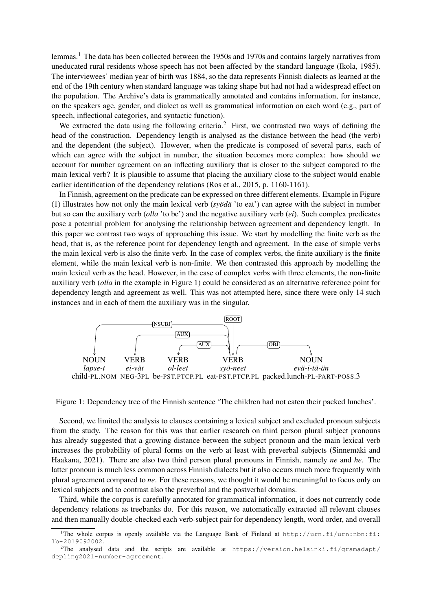lemmas.<sup>1</sup> The data has been collected between the 1950s and 1970s and contains largely narratives from uneducated rural residents whose speech has not been affected by the standard language (Ikola, 1985). The interviewees' median year of birth was 1884, so the data represents Finnish dialects as learned at the end of the 19th century when standard language was taking shape but had not had a widespread effect on the population. The Archive's data is grammatically annotated and contains information, for instance, on the speakers age, gender, and dialect as well as grammatical information on each word (e.g., part of speech, inflectional categories, and syntactic function).

We extracted the data using the following criteria.<sup>2</sup> First, we contrasted two ways of defining the head of the construction. Dependency length is analysed as the distance between the head (the verb) and the dependent (the subject). However, when the predicate is composed of several parts, each of which can agree with the subject in number, the situation becomes more complex: how should we account for number agreement on an inflecting auxiliary that is closer to the subject compared to the main lexical verb? It is plausible to assume that placing the auxiliary close to the subject would enable earlier identification of the dependency relations (Ros et al., 2015, p. 1160-1161).

In Finnish, agreement on the predicate can be expressed on three different elements. Example in Figure (1) illustrates how not only the main lexical verb ( $s\nu\ddot{o}d\ddot{a}$  'to eat') can agree with the subject in number but so can the auxiliary verb (*olla* 'to be') and the negative auxiliary verb (*ei*). Such complex predicates pose a potential problem for analysing the relationship between agreement and dependency length. In this paper we contrast two ways of approaching this issue. We start by modelling the finite verb as the head, that is, as the reference point for dependency length and agreement. In the case of simple verbs the main lexical verb is also the finite verb. In the case of complex verbs, the finite auxiliary is the finite element, while the main lexical verb is non-finite. We then contrasted this approach by modelling the main lexical verb as the head. However, in the case of complex verbs with three elements, the non-finite auxiliary verb (*olla* in the example in Figure 1) could be considered as an alternative reference point for dependency length and agreement as well. This was not attempted here, since there were only 14 such instances and in each of them the auxiliary was in the singular.



Figure 1: Dependency tree of the Finnish sentence 'The children had not eaten their packed lunches'.

Second, we limited the analysis to clauses containing a lexical subject and excluded pronoun subjects from the study. The reason for this was that earlier research on third person plural subject pronouns has already suggested that a growing distance between the subject pronoun and the main lexical verb increases the probability of plural forms on the verb at least with preverbal subjects (Sinnemaki and Haakana, 2021). There are also two third person plural pronouns in Finnish, namely *ne* and *he*. The latter pronoun is much less common across Finnish dialects but it also occurs much more frequently with plural agreement compared to *ne*. For these reasons, we thought it would be meaningful to focus only on lexical subjects and to contrast also the preverbal and the postverbal domains.

Third, while the corpus is carefully annotated for grammatical information, it does not currently code dependency relations as treebanks do. For this reason, we automatically extracted all relevant clauses and then manually double-checked each verb-subject pair for dependency length, word order, and overall

<sup>&</sup>lt;sup>1</sup>The whole corpus is openly available via the Language Bank of Finland at  $http://urn.fi/urn.nb:fi$ : lb-2019092002.

 $^{2}$ The analysed data and the scripts are available at https://version.helsinki.fi/gramadapt/ depling2021-number-agreement.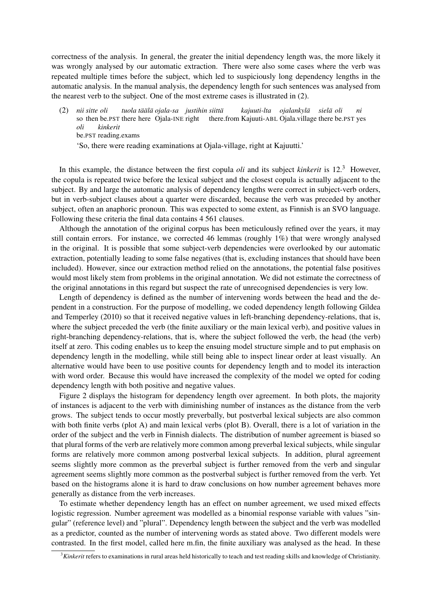correctness of the analysis. In general, the greater the initial dependency length was, the more likely it was wrongly analysed by our automatic extraction. There were also some cases where the verb was repeated multiple times before the subject, which led to suspiciously long dependency lengths in the automatic analysis. In the manual analysis, the dependency length for such sentences was analysed from the nearest verb to the subject. One of the most extreme cases is illustrated in (2).

 $(2)$ so then be.PST there here Ojala-INE right *sitte oli tuola ta¨al¨ a¨ ojala-sa justihin siitta¨* there.from Kajuuti-ABL Ojala.village there be.PST yes *kajuuti-lta ojalankyla¨ siela¨ oli ni oli* be.PST reading.exams *kinkerit* 'So, there were reading examinations at Ojala-village, right at Kajuutti.'

In this example, the distance between the first copula *oli* and its subject *kinkerit* is 12.<sup>3</sup> However, the copula is repeated twice before the lexical subject and the closest copula is actually adjacent to the subject. By and large the automatic analysis of dependency lengths were correct in subject-verb orders, but in verb-subject clauses about a quarter were discarded, because the verb was preceded by another subject, often an anaphoric pronoun. This was expected to some extent, as Finnish is an SVO language. Following these criteria the final data contains 4 561 clauses.

Although the annotation of the original corpus has been meticulously refined over the years, it may still contain errors. For instance, we corrected 46 lemmas (roughly 1%) that were wrongly analysed in the original. It is possible that some subject-verb dependencies were overlooked by our automatic extraction, potentially leading to some false negatives (that is, excluding instances that should have been included). However, since our extraction method relied on the annotations, the potential false positives would most likely stem from problems in the original annotation. We did not estimate the correctness of the original annotations in this regard but suspect the rate of unrecognised dependencies is very low.

Length of dependency is defined as the number of intervening words between the head and the dependent in a construction. For the purpose of modelling, we coded dependency length following Gildea and Temperley (2010) so that it received negative values in left-branching dependency-relations, that is, where the subject preceded the verb (the finite auxiliary or the main lexical verb), and positive values in right-branching dependency-relations, that is, where the subject followed the verb, the head (the verb) itself at zero. This coding enables us to keep the ensuing model structure simple and to put emphasis on dependency length in the modelling, while still being able to inspect linear order at least visually. An alternative would have been to use positive counts for dependency length and to model its interaction with word order. Because this would have increased the complexity of the model we opted for coding dependency length with both positive and negative values.

Figure 2 displays the histogram for dependency length over agreement. In both plots, the majority of instances is adjacent to the verb with diminishing number of instances as the distance from the verb grows. The subject tends to occur mostly preverbally, but postverbal lexical subjects are also common with both finite verbs (plot A) and main lexical verbs (plot B). Overall, there is a lot of variation in the order of the subject and the verb in Finnish dialects. The distribution of number agreement is biased so that plural forms of the verb are relatively more common among preverbal lexical subjects, while singular forms are relatively more common among postverbal lexical subjects. In addition, plural agreement seems slightly more common as the preverbal subject is further removed from the verb and singular agreement seems slightly more common as the postverbal subject is further removed from the verb. Yet based on the histograms alone it is hard to draw conclusions on how number agreement behaves more generally as distance from the verb increases.

To estimate whether dependency length has an effect on number agreement, we used mixed effects logistic regression. Number agreement was modelled as a binomial response variable with values "singular" (reference level) and "plural". Dependency length between the subject and the verb was modelled as a predictor, counted as the number of intervening words as stated above. Two different models were contrasted. In the first model, called here m.fin, the finite auxiliary was analysed as the head. In these

<sup>3</sup>*Kinkerit* refers to examinations in rural areas held historically to teach and test reading skills and knowledge of Christianity.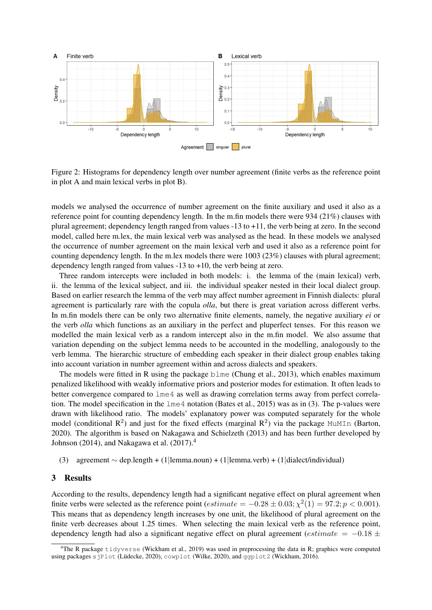

Figure 2: Histograms for dependency length over number agreement (finite verbs as the reference point in plot A and main lexical verbs in plot B).

models we analysed the occurrence of number agreement on the finite auxiliary and used it also as a reference point for counting dependency length. In the m.fin models there were 934 (21%) clauses with plural agreement; dependency length ranged from values -13 to +11, the verb being at zero. In the second model, called here m.lex, the main lexical verb was analysed as the head. In these models we analysed the occurrence of number agreement on the main lexical verb and used it also as a reference point for counting dependency length. In the m.lex models there were 1003 (23%) clauses with plural agreement; dependency length ranged from values -13 to +10, the verb being at zero.

Three random intercepts were included in both models: i. the lemma of the (main lexical) verb, ii. the lemma of the lexical subject, and iii. the individual speaker nested in their local dialect group. Based on earlier research the lemma of the verb may affect number agreement in Finnish dialects: plural agreement is particularly rare with the copula *olla*, but there is great variation across different verbs. In m.fin models there can be only two alternative finite elements, namely, the negative auxiliary *ei* or the verb *olla* which functions as an auxiliary in the perfect and pluperfect tenses. For this reason we modelled the main lexical verb as a random intercept also in the m.fin model. We also assume that variation depending on the subject lemma needs to be accounted in the modelling, analogously to the verb lemma. The hierarchic structure of embedding each speaker in their dialect group enables taking into account variation in number agreement within and across dialects and speakers.

The models were fitted in R using the package blme (Chung et al., 2013), which enables maximum penalized likelihood with weakly informative priors and posterior modes for estimation. It often leads to better convergence compared to lme4 as well as drawing correlation terms away from perfect correlation. The model specification in the lme4 notation (Bates et al., 2015) was as in (3). The p-values were drawn with likelihood ratio. The models' explanatory power was computed separately for the whole model (conditional  $R^2$ ) and just for the fixed effects (marginal  $R^2$ ) via the package MuMIn (Barton, 2020). The algorithm is based on Nakagawa and Schielzeth (2013) and has been further developed by Johnson (2014), and Nakagawa et al.  $(2017).<sup>4</sup>$ 

(3) agreement ∼ dep.length + (1|lemma.noun) + (1|lemma.verb) + (1|dialect/individual)

#### 3 Results

According to the results, dependency length had a significant negative effect on plural agreement when finite verbs were selected as the reference point  $(estimate = -0.28 \pm 0.03; \chi^2(1) = 97.2; p < 0.001)$ . This means that as dependency length increases by one unit, the likelihood of plural agreement on the finite verb decreases about 1.25 times. When selecting the main lexical verb as the reference point, dependency length had also a significant negative effect on plural agreement (*estimate* =  $-0.18 \pm$ 

<sup>&</sup>lt;sup>4</sup>The R package tidyverse (Wickham et al., 2019) was used in preprocessing the data in R; graphics were computed using packages sjPlot (Lüdecke, 2020), cowplot (Wilke, 2020), and ggplot2 (Wickham, 2016).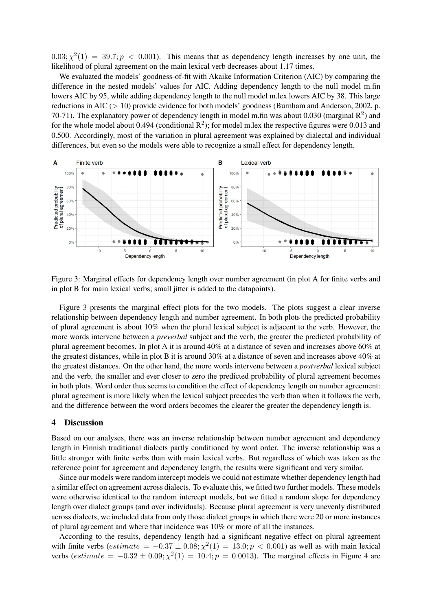$0.03$ ;  $\chi^2(1) = 39.7$ ;  $p < 0.001$ ). This means that as dependency length increases by one unit, the likelihood of plural agreement on the main lexical verb decreases about 1.17 times.

We evaluated the models' goodness-of-fit with Akaike Information Criterion (AIC) by comparing the difference in the nested models' values for AIC. Adding dependency length to the null model m.fin lowers AIC by 95, while adding dependency length to the null model m.lex lowers AIC by 38. This large reductions in AIC (> 10) provide evidence for both models' goodness (Burnham and Anderson, 2002, p. 70-71). The explanatory power of dependency length in model m.fin was about 0.030 (marginal  $\mathbb{R}^2$ ) and for the whole model about 0.494 (conditional  $\mathbb{R}^2$ ); for model m.lex the respective figures were 0.013 and 0.500. Accordingly, most of the variation in plural agreement was explained by dialectal and individual differences, but even so the models were able to recognize a small effect for dependency length.



Figure 3: Marginal effects for dependency length over number agreement (in plot A for finite verbs and in plot B for main lexical verbs; small jitter is added to the datapoints).

Figure 3 presents the marginal effect plots for the two models. The plots suggest a clear inverse relationship between dependency length and number agreement. In both plots the predicted probability of plural agreement is about 10% when the plural lexical subject is adjacent to the verb. However, the more words intervene between a *preverbal* subject and the verb, the greater the predicted probability of plural agreement becomes. In plot A it is around 40% at a distance of seven and increases above 60% at the greatest distances, while in plot B it is around 30% at a distance of seven and increases above 40% at the greatest distances. On the other hand, the more words intervene between a *postverbal* lexical subject and the verb, the smaller and ever closer to zero the predicted probability of plural agreement becomes in both plots. Word order thus seems to condition the effect of dependency length on number agreement: plural agreement is more likely when the lexical subject precedes the verb than when it follows the verb, and the difference between the word orders becomes the clearer the greater the dependency length is.

## 4 Discussion

Based on our analyses, there was an inverse relationship between number agreement and dependency length in Finnish traditional dialects partly conditioned by word order. The inverse relationship was a little stronger with finite verbs than with main lexical verbs. But regardless of which was taken as the reference point for agreement and dependency length, the results were significant and very similar.

Since our models were random intercept models we could not estimate whether dependency length had a similar effect on agreement across dialects. To evaluate this, we fitted two further models. These models were otherwise identical to the random intercept models, but we fitted a random slope for dependency length over dialect groups (and over individuals). Because plural agreement is very unevenly distributed across dialects, we included data from only those dialect groups in which there were 20 or more instances of plural agreement and where that incidence was 10% or more of all the instances.

According to the results, dependency length had a significant negative effect on plural agreement with finite verbs ( $estimate = -0.37 \pm 0.08$ ;  $\chi^2(1) = 13.0$ ;  $p < 0.001$ ) as well as with main lexical verbs (estimate =  $-0.32 \pm 0.09$ ;  $\chi^2(1) = 10.4$ ;  $p = 0.0013$ ). The marginal effects in Figure 4 are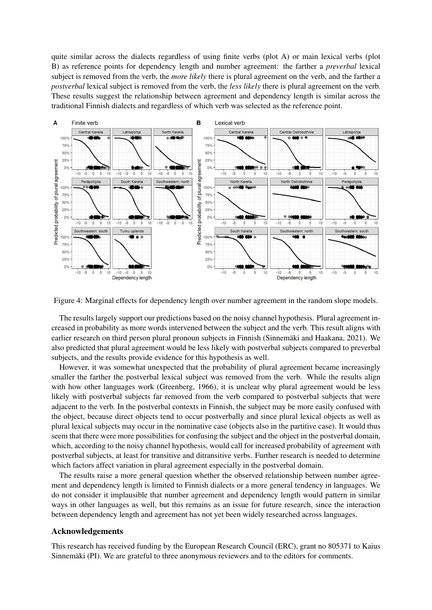quite similar across the dialects regardless of using finite verbs (plot A) or main lexical verbs (plot B) as reference points for dependency length and number agreement: the farther a *preverbal* lexical subject is removed from the verb, the *more likely* there is plural agreement on the verb, and the farther a *postverbal* lexical subject is removed from the verb, the *less likely* there is plural agreement on the verb. These results suggest the relationship between agreement and dependency length is similar across the traditional Finnish dialects and regardless of which verb was selected as the reference point.



Figure 4: Marginal effects for dependency length over number agreement in the random slope models.

The results largely support our predictions based on the noisy channel hypothesis. Plural agreement increased in probability as more words intervened between the subject and the verb. This result aligns with earlier research on third person plural pronoun subjects in Finnish (Sinnemäki and Haakana, 2021). We also predicted that plural agreement would be less likely with postverbal subjects compared to preverbal subjects, and the results provide evidence for this hypothesis as well.

However, it was somewhat unexpected that the probability of plural agreement became increasingly smaller the farther the postverbal lexical subject was removed from the verb. While the results align with how other languages work (Greenberg, 1966), it is unclear why plural agreement would be less likely with postverbal subjects far removed from the verb compared to postverbal subjects that were adjacent to the verb. In the postverbal contexts in Finnish, the subject may be more easily confused with the object, because direct objects tend to occur postverbally and since plural lexical objects as well as plural lexical subjects may occur in the nominative case (objects also in the partitive case). It would thus seem that there were more possibilities for confusing the subject and the object in the postverbal domain, which, according to the noisy channel hypothesis, would call for increased probability of agreement with postverbal subjects, at least for transitive and ditransitive verbs. Further research is needed to determine which factors affect variation in plural agreement especially in the postverbal domain.

The results raise a more general question whether the observed relationship between number agreement and dependency length is limited to Finnish dialects or a more general tendency in languages. We do not consider it implausible that number agreement and dependency length would pattern in similar ways in other languages as well, but this remains as an issue for future research, since the interaction between dependency length and agreement has not yet been widely researched across languages.

#### Acknowledgements

This research has received funding by the European Research Council (ERC), grant no 805371 to Kaius Sinnemäki (PI). We are grateful to three anonymous reviewers and to the editors for comments.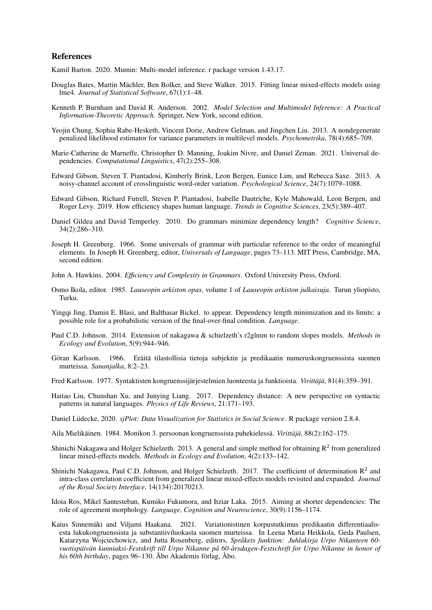## References

Kamil Barton. 2020. Mumin: Multi-model inference. r package version 1.43.17.

- Douglas Bates, Martin Machler, Ben Bolker, and Steve Walker. 2015. Fitting linear mixed-effects models using ¨ lme4. *Journal of Statistical Software*, 67(1):1–48.
- Kenneth P. Burnham and David R. Anderson. 2002. *Model Selection and Multimodel Inference: A Practical Information-Theoretic Approach*. Springer, New York, second edition.
- Yeojin Chung, Sophia Rabe-Hesketh, Vincent Dorie, Andrew Gelman, and Jingchen Liu. 2013. A nondegenerate penalized likelihood estimator for variance parameters in multilevel models. *Psychometrika*, 78(4):685–709.
- Marie-Catherine de Marneffe, Christopher D. Manning, Joakim Nivre, and Daniel Zeman. 2021. Universal dependencies. *Computational Linguistics*, 47(2):255–308.
- Edward Gibson, Steven T. Piantadosi, Kimberly Brink, Leon Bergen, Eunice Lim, and Rebecca Saxe. 2013. A noisy-channel account of crosslinguistic word-order variation. *Psychological Science*, 24(7):1079–1088.
- Edward Gibson, Richard Futrell, Steven P. Piantadosi, Isabelle Dautriche, Kyle Mahowald, Leon Bergen, and Roger Levy. 2019. How efficiency shapes human language. *Trends in Cognitive Sciences*, 23(5):389–407.
- Daniel Gildea and David Temperley. 2010. Do grammars minimize dependency length? *Cognitive Science*, 34(2):286–310.
- Joseph H. Greenberg. 1966. Some universals of grammar with particular reference to the order of meaningful elements. In Joseph H. Greenberg, editor, *Universals of Language*, pages 73–113. MIT Press, Cambridge, MA, second edition.
- John A. Hawkins. 2004. *Efficiency and Complexity in Grammars*. Oxford University Press, Oxford.
- Osmo Ikola, editor. 1985. *Lauseopin arkiston opas*, volume 1 of *Lauseopin arkiston julkaisuja*. Turun yliopisto, Turku.
- Yingqi Jing, Damin E. Blasi, and Balthasar Bickel. to appear. Dependency length minimization and its limits: a possible role for a probabilistic version of the final-over-final condition. *Language*.
- Paul C.D. Johnson. 2014. Extension of nakagawa & schielzeth's r2glmm to random slopes models. *Methods in Ecology and Evolution*, 5(9):944–946.
- Göran Karlsson. 1966. Eräitä tilastollisia tietoja subjektin ja predikaatin numeruskongruenssista suomen murteissa. *Sananjalka*, 8:2–23.
- Fred Karlsson. 1977. Syntaktisten kongruenssijärjestelmien luonteesta ja funktioista. *Virittäjä*, 81(4):359–391.
- Haitao Liu, Chunshan Xu, and Junying Liang. 2017. Dependency distance: A new perspective on syntactic patterns in natural languages. *Physics of Life Reviews*, 21:171–193.
- Daniel Lüdecke, 2020. *sjPlot: Data Visualization for Statistics in Social Science*. R package version 2.8.4.
- Aila Mielikäinen. 1984. Monikon 3. persoonan kongruenssista puhekielessä. *Virittäjä*, 88(2):162–175.
- Shinichi Nakagawa and Holger Schielzeth. 2013. A general and simple method for obtaining  $R^2$  from generalized linear mixed-effects models. *Methods in Ecology and Evolution*, 4(2):133–142.
- Shinichi Nakagawa, Paul C.D. Johnson, and Holger Schielzeth. 2017. The coefficient of determination  $\mathbb{R}^2$  and intra-class correlation coefficient from generalized linear mixed-effects models revisited and expanded. *Journal of the Royal Society Interface*, 14(134):20170213.
- Idoia Ros, Mikel Santesteban, Kumiko Fukumora, and Itziar Laka. 2015. Aiming at shorter dependencies: The role of agreement morphology. *Language, Cognition and Neuroscience*, 30(9):1156–1174.
- Kaius Sinnemäki and Viljami Haakana. 2021. Variationistinen korpustutkimus predikaatin differentiaalisesta lukukongruenssista ja substantiiviluokasta suomen murteissa. In Leena Maria Heikkola, Geda Paulsen, Katarzyna Wojciechowicz, and Jutta Rosenberg, editors, *Sprakets funktion: Juhlakirja Urpo Nikanteen 60- ˚ vuotispaiv ¨ an kunniaksi-Festskrift till Urpo Nikanne p ¨ a 60- ˚ arsdagen-Festschrift for Urpo Nikanne in honor of ˚ his 60th birthday*, pages 96–130. Åbo Akademis förlag, Åbo.